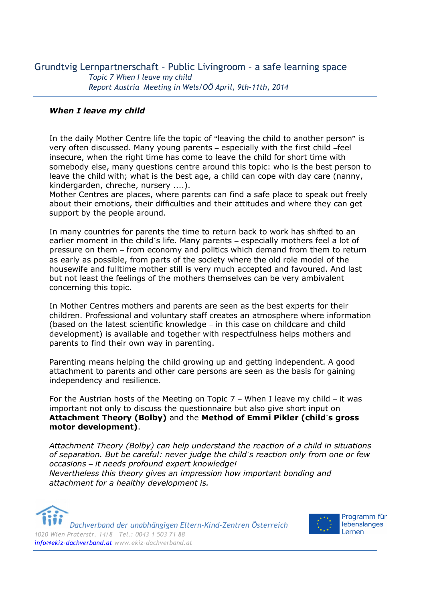### *When I leave my child*

In the daily Mother Centre life the topic of "leaving the child to another person" is very often discussed. Many young parents – especially with the first child –feel insecure, when the right time has come to leave the child for short time with somebody else, many questions centre around this topic: who is the best person to leave the child with; what is the best age, a child can cope with day care (nanny, kindergarden, chreche, nursery ....).

Mother Centres are places, where parents can find a safe place to speak out freely about their emotions, their difficulties and their attitudes and where they can get support by the people around.

In many countries for parents the time to return back to work has shifted to an earlier moment in the child´s life. Many parents – especially mothers feel a lot of pressure on them – from economy and politics which demand from them to return as early as possible, from parts of the society where the old role model of the housewife and fulltime mother still is very much accepted and favoured. And last but not least the feelings of the mothers themselves can be very ambivalent concerning this topic.

In Mother Centres mothers and parents are seen as the best experts for their children. Professional and voluntary staff creates an atmosphere where information (based on the latest scientific knowledge – in this case on childcare and child development) is available and together with respectfulness helps mothers and parents to find their own way in parenting.

Parenting means helping the child growing up and getting independent. A good attachment to parents and other care persons are seen as the basis for gaining independency and resilience.

For the Austrian hosts of the Meeting on Topic  $7$  – When I leave my child – it was important not only to discuss the questionnaire but also give short input on **Attachment Theory (Bolby)** and the **Method of Emmi Pikler (child´s gross motor development)**.

*Attachment Theory (Bolby) can help understand the reaction of a child in situations of separation. But be careful: never judge the child´s reaction only from one or few occasions – it needs profound expert knowledge! Nevertheless this theory gives an impression how important bonding and attachment for a healthy development is.* 

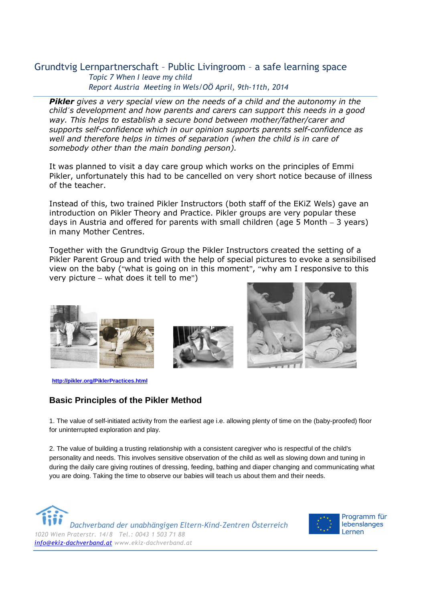*Pikler gives a very special view on the needs of a child and the autonomy in the child´s development and how parents and carers can support this needs in a good way. This helps to establish a secure bond between mother/father/carer and supports self-confidence which in our opinion supports parents self-confidence as well and therefore helps in times of separation (when the child is in care of somebody other than the main bonding person).* 

It was planned to visit a day care group which works on the principles of Emmi Pikler, unfortunately this had to be cancelled on very short notice because of illness of the teacher.

Instead of this, two trained Pikler Instructors (both staff of the EKiZ Wels) gave an introduction on Pikler Theory and Practice. Pikler groups are very popular these days in Austria and offered for parents with small children (age 5 Month – 3 years) in many Mother Centres.

Together with the Grundtvig Group the Pikler Instructors created the setting of a Pikler Parent Group and tried with the help of special pictures to evoke a sensibilised view on the baby ("what is going on in this moment", "why am I responsive to this very picture – what does it tell to me")



**http://pikler.org/PiklerPractices.html**

### **Basic Principles of the Pikler Method**

1. The value of self-initiated activity from the earliest age i.e. allowing plenty of time on the (baby-proofed) floor for uninterrupted exploration and play.

2. The value of building a trusting relationship with a consistent caregiver who is respectful of the child's personality and needs. This involves sensitive observation of the child as well as slowing down and tuning in during the daily care giving routines of dressing, feeding, bathing and diaper changing and communicating what you are doing. Taking the time to observe our babies will teach us about them and their needs.

*Dachverband der unabhängigen Eltern-Kind-Zentren Österreich 1020 Wien Praterstr. 14/8 Tel.: 0043 1 503 71 88 info@ekiz-dachverband.at www.ekiz-dachverband.at* 

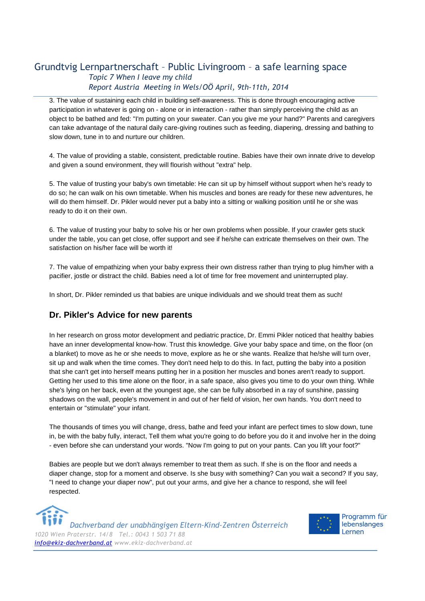3. The value of sustaining each child in building self-awareness. This is done through encouraging active participation in whatever is going on - alone or in interaction - rather than simply perceiving the child as an object to be bathed and fed: "I'm putting on your sweater. Can you give me your hand?" Parents and caregivers can take advantage of the natural daily care-giving routines such as feeding, diapering, dressing and bathing to slow down, tune in to and nurture our children.

4. The value of providing a stable, consistent, predictable routine. Babies have their own innate drive to develop and given a sound environment, they will flourish without "extra" help.

5. The value of trusting your baby's own timetable: He can sit up by himself without support when he's ready to do so; he can walk on his own timetable. When his muscles and bones are ready for these new adventures, he will do them himself. Dr. Pikler would never put a baby into a sitting or walking position until he or she was ready to do it on their own.

6. The value of trusting your baby to solve his or her own problems when possible. If your crawler gets stuck under the table, you can get close, offer support and see if he/she can extricate themselves on their own. The satisfaction on his/her face will be worth it!

7. The value of empathizing when your baby express their own distress rather than trying to plug him/her with a pacifier, jostle or distract the child. Babies need a lot of time for free movement and uninterrupted play.

In short, Dr. Pikler reminded us that babies are unique individuals and we should treat them as such!

### **Dr. Pikler's Advice for new parents**

In her research on gross motor development and pediatric practice, Dr. Emmi Pikler noticed that healthy babies have an inner developmental know-how. Trust this knowledge. Give your baby space and time, on the floor (on a blanket) to move as he or she needs to move, explore as he or she wants. Realize that he/she will turn over, sit up and walk when the time comes. They don't need help to do this. In fact, putting the baby into a position that she can't get into herself means putting her in a position her muscles and bones aren't ready to support. Getting her used to this time alone on the floor, in a safe space, also gives you time to do your own thing. While she's lying on her back, even at the youngest age, she can be fully absorbed in a ray of sunshine, passing shadows on the wall, people's movement in and out of her field of vision, her own hands. You don't need to entertain or "stimulate" your infant.

The thousands of times you will change, dress, bathe and feed your infant are perfect times to slow down, tune in, be with the baby fully, interact, Tell them what you're going to do before you do it and involve her in the doing - even before she can understand your words. "Now I'm going to put on your pants. Can you lift your foot?"

Babies are people but we don't always remember to treat them as such. If she is on the floor and needs a diaper change, stop for a moment and observe. Is she busy with something? Can you wait a second? If you say, "I need to change your diaper now", put out your arms, and give her a chance to respond, she will feel respected.

*Dachverband der unabhängigen Eltern-Kind-Zentren Österreich 1020 Wien Praterstr. 14/8 Tel.: 0043 1 503 71 88 info@ekiz-dachverband.at www.ekiz-dachverband.at* 

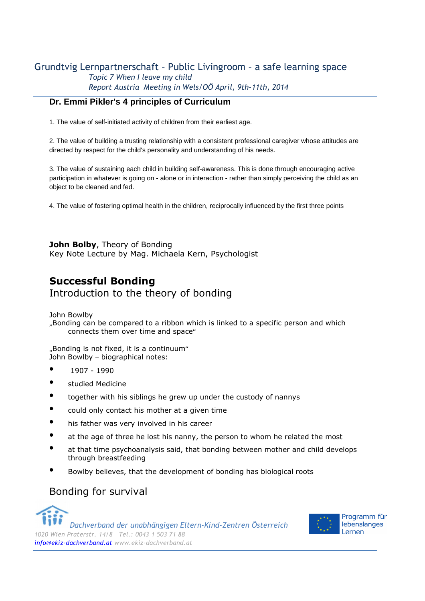### **Dr. Emmi Pikler's 4 principles of Curriculum**

1. The value of self-initiated activity of children from their earliest age.

2. The value of building a trusting relationship with a consistent professional caregiver whose attitudes are directed by respect for the child's personality and understanding of his needs.

3. The value of sustaining each child in building self-awareness. This is done through encouraging active participation in whatever is going on - alone or in interaction - rather than simply perceiving the child as an object to be cleaned and fed.

4. The value of fostering optimal health in the children, reciprocally influenced by the first three points

**John Bolby**, Theory of Bonding Key Note Lecture by Mag. Michaela Kern, Psychologist

# **Successful Bonding**

Introduction to the theory of bonding

John Bowlby

"Bonding can be compared to a ribbon which is linked to a specific person and which connects them over time and space"

"Bonding is not fixed, it is a continuum" John Bowlby – biographical notes:

- 1907 1990
- studied Medicine
- together with his siblings he grew up under the custody of nannys
- could only contact his mother at a given time
- his father was very involved in his career
- at the age of three he lost his nanny, the person to whom he related the most
- at that time psychoanalysis said, that bonding between mother and child develops through breastfeeding
- Bowlby believes, that the development of bonding has biological roots

# Bonding for survival

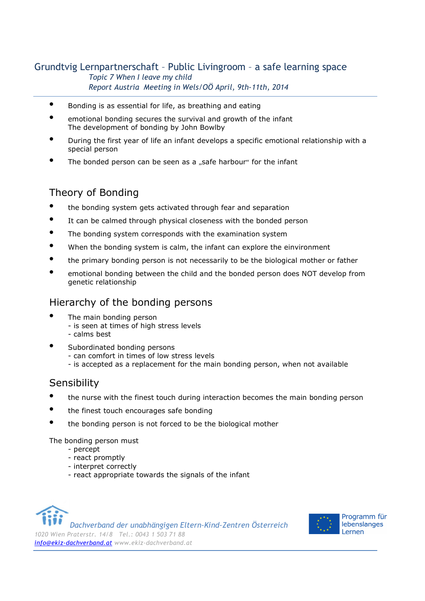- Bonding is as essential for life, as breathing and eating
- emotional bonding secures the survival and growth of the infant The development of bonding by John Bowlby
- During the first year of life an infant develops a specific emotional relationship with a special person
- The bonded person can be seen as a ..safe harbour" for the infant

# Theory of Bonding

- the bonding system gets activated through fear and separation
- It can be calmed through physical closeness with the bonded person
- The bonding system corresponds with the examination system
- When the bonding system is calm, the infant can explore the einvironment
- the primary bonding person is not necessarily to be the biological mother or father
- emotional bonding between the child and the bonded person does NOT develop from genetic relationship

## Hierarchy of the bonding persons

- The main bonding person
	- is seen at times of high stress levels
	- calms best
- Subordinated bonding persons
	- can comfort in times of low stress levels
	- is accepted as a replacement for the main bonding person, when not available

## **Sensibility**

- the nurse with the finest touch during interaction becomes the main bonding person
- the finest touch encourages safe bonding
- the bonding person is not forced to be the biological mother

The bonding person must

- percept
- react promptly
- interpret correctly
- react appropriate towards the signals of the infant



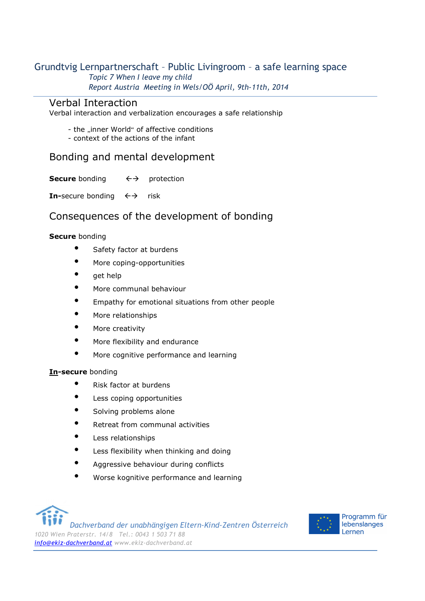### Verbal Interaction

Verbal interaction and verbalization encourages a safe relationship

- the ..inner World" of affective conditions
- context of the actions of the infant

## Bonding and mental development

**Secure** bonding  $\leftarrow \rightarrow$ protection

**In-**secure bonding  $\leftrightarrow$ risk

## Consequences of the development of bonding

### **Secure** bonding

- Safety factor at burdens
- More coping-opportunities
- get help
- More communal behaviour
- Empathy for emotional situations from other people
- More relationships
- More creativity
- More flexibility and endurance
- More cognitive performance and learning

### **In-secure** bonding

- Risk factor at burdens
- Less coping opportunities
- Solving problems alone
- Retreat from communal activities
- Less relationships
- Less flexibility when thinking and doing
- Aggressive behaviour during conflicts
- Worse kognitive performance and learning

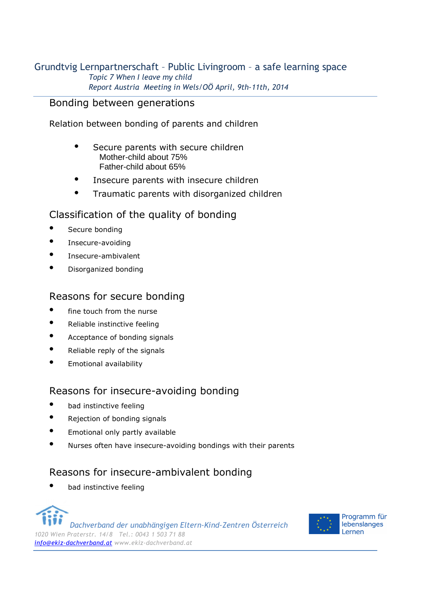## Bonding between generations

Relation between bonding of parents and children

- Secure parents with secure children Mother-child about 75% Father-child about 65%
- Insecure parents with insecure children
- Traumatic parents with disorganized children

## Classification of the quality of bonding

- Secure bonding
- Insecure-avoiding
- Insecure-ambivalent
- Disorganized bonding

## Reasons for secure bonding

- fine touch from the nurse
- Reliable instinctive feeling
- Acceptance of bonding signals
- Reliable reply of the signals
- Emotional availability

# Reasons for insecure-avoiding bonding

- bad instinctive feeling
- Rejection of bonding signals
- Emotional only partly available
- Nurses often have insecure-avoiding bondings with their parents

# Reasons for insecure-ambivalent bonding

bad instinctive feeling



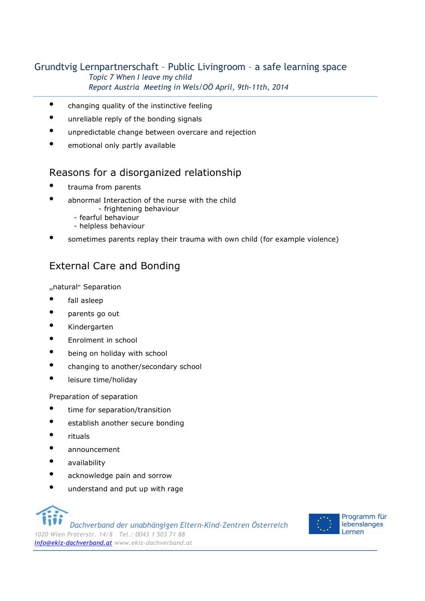- changing quality of the instinctive feeling
- unreliable reply of the bonding signals
- unpredictable change between overcare and rejection
- emotional only partly available

# Reasons for a disorganized relationship

- trauma from parents
- abnormal Interaction of the nurse with the child
	- frightening behaviour
	- fearful behaviour
	- helpless behaviour
- sometimes parents replay their trauma with own child (for example violence)

# External Care and Bonding

"natural" Separation

- fall asleep
- parents go out
- Kindergarten
- Enrolment in school
- being on holiday with school
- changing to another/secondary school
- leisure time/holiday

Preparation of separation

- time for separation/transition
- establish another secure bonding
- rituals
- announcement
- availability
- acknowledge pain and sorrow
- understand and put up with rage

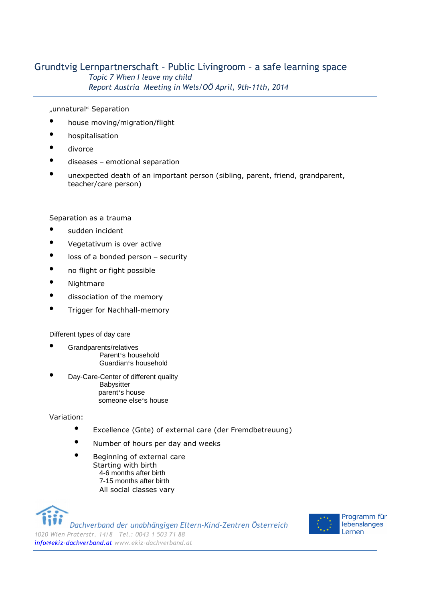"unnatural" Separation

- house moving/migration/flight
- hospitalisation
- divorce
- diseases emotional separation
- unexpected death of an important person (sibling, parent, friend, grandparent, teacher/care person)

#### Separation as a trauma

- sudden incident
- Vegetativum is over active
- loss of a bonded person security
- no flight or fight possible
- Nightmare
- dissociation of the memory
- Trigger for Nachhall-memory

Different types of day care

- Grandparents/relatives Parent's household Guardian's household
- Day-Care-Center of different quality **Babysitter**  parent's house someone else's house

### Variation:

- Excellence (Güte) of external care (der Fremdbetreuung)
- Number of hours per day and weeks
- Beginning of external care Starting with birth 4-6 months after birth 7-15 months after birth All social classes vary

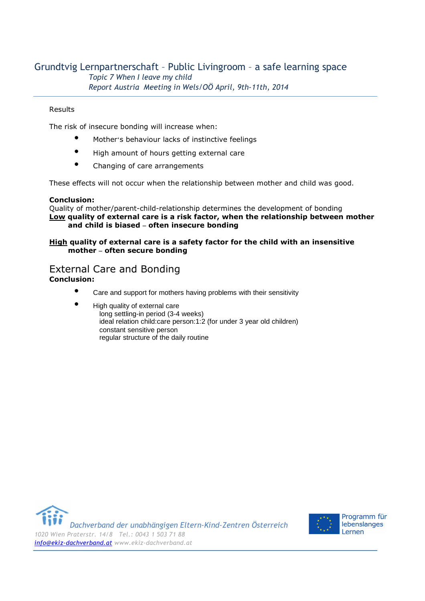#### Results

The risk of insecure bonding will increase when:

- Mother's behaviour lacks of instinctive feelings
- High amount of hours getting external care
- Changing of care arrangements

These effects will not occur when the relationship between mother and child was good.

#### **Conclusion:**

Quality of mother/parent-child-relationship determines the development of bonding **Low quality of external care is a risk factor, when the relationship between mother and child is biased – often insecure bonding** 

#### **High quality of external care is a safety factor for the child with an insensitive mother – often secure bonding**

### External Care and Bonding **Conclusion:**

- Care and support for mothers having problems with their sensitivity
- High quality of external care long settling-in period (3-4 weeks) ideal relation child:care person:1:2 (for under 3 year old children) constant sensitive person regular structure of the daily routine



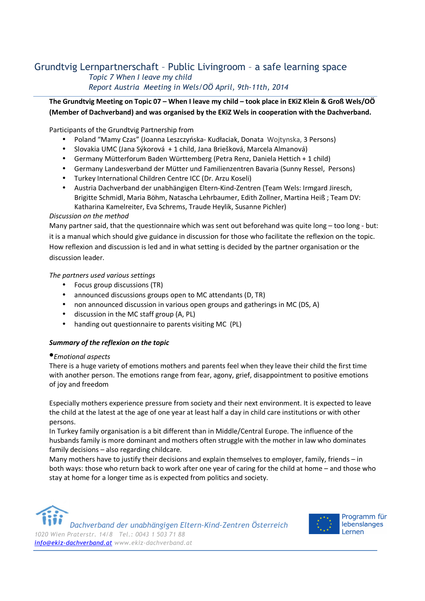**The Grundtvig Meeting on Topic 07 – When I leave my child – took place in EKiZ Klein & Groß Wels/OÖ (Member of Dachverband) and was organised by the EKiZ Wels in cooperation with the Dachverband.** 

Participants of the Grundtvig Partnership from

- Poland "Mamy Czas" (Joanna Leszczyńska- Kudłaciak, Donata Wojtynska, 3 Persons)
- Slovakia UMC (Jana Sýkorová + 1 child, Jana Briešková, Marcela Almanová)
- Germany Mütterforum Baden Württemberg (Petra Renz, Daniela Hettich + 1 child)
- Germany Landesverband der Mütter und Familienzentren Bavaria (Sunny Ressel, Persons)
- Turkey International Children Centre ICC (Dr. Arzu Koseli)
- Austria Dachverband der unabhängigen Eltern-Kind-Zentren (Team Wels: Irmgard Jiresch, Brigitte Schmidl, Maria Böhm, Natascha Lehrbaumer, Edith Zollner, Martina Heiß ; Team DV: Katharina Kamelreiter, Eva Schrems, Traude Heylik, Susanne Pichler)

#### *Discussion on the method*

Many partner said, that the questionnaire which was sent out beforehand was quite long – too long - but: it is a manual which should give guidance in discussion for those who facilitate the reflexion on the topic. How reflexion and discussion is led and in what setting is decided by the partner organisation or the discussion leader.

*The partners used various settings*

- Focus group discussions (TR)
- announced discussions groups open to MC attendants (D, TR)
- non announced discussion in various open groups and gatherings in MC (DS, A)
- discussion in the MC staff group (A, PL)
- handing out questionnaire to parents visiting MC (PL)

#### *Summary of the reflexion on the topic*

#### •*Emotional aspects*

There is a huge variety of emotions mothers and parents feel when they leave their child the first time with another person. The emotions range from fear, agony, grief, disappointment to positive emotions of joy and freedom

Especially mothers experience pressure from society and their next environment. It is expected to leave the child at the latest at the age of one year at least half a day in child care institutions or with other persons.

In Turkey family organisation is a bit different than in Middle/Central Europe. The influence of the husbands family is more dominant and mothers often struggle with the mother in law who dominates family decisions – also regarding childcare.

Many mothers have to justify their decisions and explain themselves to employer, family, friends – in both ways: those who return back to work after one year of caring for the child at home – and those who stay at home for a longer time as is expected from politics and society.